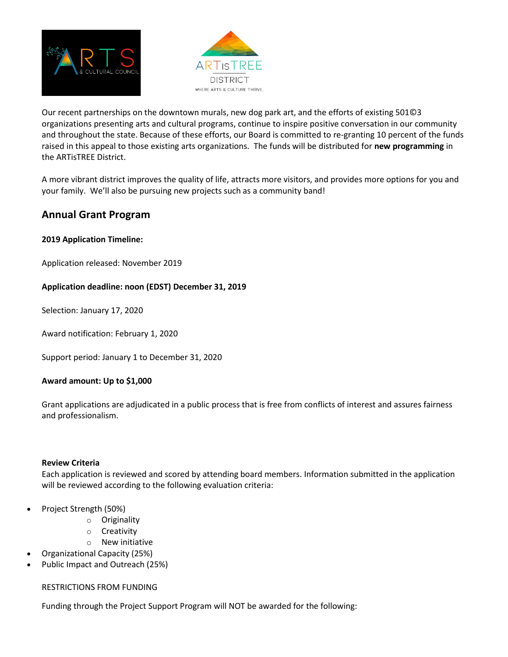



Our recent partnerships on the downtown murals, new dog park art, and the efforts of existing 501©3 organizations presenting arts and cultural programs, continue to inspire positive conversation in our community and throughout the state. Because of these efforts, our Board is committed to re-granting 10 percent of the funds raised in this appeal to those existing arts organizations. The funds will be distributed for **new programming** in the ARTisTREE District.

A more vibrant district improves the quality of life, attracts more visitors, and provides more options for you and your family. We'll also be pursuing new projects such as a community band!

# **Annual Grant Program**

## **2019 Application Timeline:**

Application released: November 2019

### **Application deadline: noon (EDST) December 31, 2019**

Selection: January 17, 2020

Award notification: February 1, 2020

Support period: January 1 to December 31, 2020

#### **Award amount: Up to \$1,000**

Grant applications are adjudicated in a public process that is free from conflicts of interest and assures fairness and professionalism.

#### **Review Criteria**

Each application is reviewed and scored by attending board members. Information submitted in the application will be reviewed according to the following evaluation criteria:

- Project Strength (50%)
	- o Originality
	- o Creativity
	- o New initiative
- Organizational Capacity (25%)
- Public Impact and Outreach (25%)

#### RESTRICTIONS FROM FUNDING

Funding through the Project Support Program will NOT be awarded for the following: